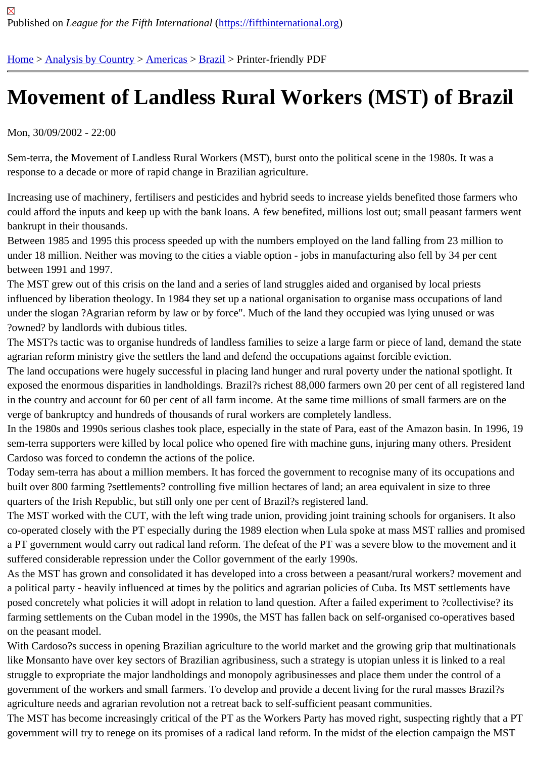## [Mo](https://fifthinternational.org/)[vement of](https://fifthinternational.org/category/1) [Landl](https://fifthinternational.org/category/1/56)[ess](https://fifthinternational.org/category/1/56/62) Rural Workers (MST) of Brazil

Mon, 30/09/2002 - 22:00

Sem-terra, the Movement of Landless Rural Workers (MST), burst onto the political scene in the 1980s. It was a response to a decade or more of rapid change in Brazilian agriculture.

Increasing use of machinery, fertilisers and pesticides and hybrid seeds to increase yields benefited those farmers who could afford the inputs and keep up with the bank loans. A few benefited, millions lost out; small peasant farmers w bankrupt in their thousands.

Between 1985 and 1995 this process speeded up with the numbers employed on the land falling from 23 million to under 18 million. Neither was moving to the cities a viable option - jobs in manufacturing also fell by 34 per cent between 1991 and 1997.

The MST grew out of this crisis on the land and a series of land struggles aided and organised by local priests influenced by liberation theology. In 1984 they set up a national organisation to organise mass occupations of land under the slogan ?Agrarian reform by law or by force". Much of the land they occupied was lying unused or was ?owned? by landlords with dubious titles.

The MST?s tactic was to organise hundreds of landless families to seize a large farm or piece of land, demand the agrarian reform ministry give the settlers the land and defend the occupations against forcible eviction.

The land occupations were hugely successful in placing land hunger and rural poverty under the national spotlight exposed the enormous disparities in landholdings. Brazil?s richest 88,000 farmers own 20 per cent of all registere in the country and account for 60 per cent of all farm income. At the same time millions of small farmers are on the verge of bankruptcy and hundreds of thousands of rural workers are completely landless.

In the 1980s and 1990s serious clashes took place, especially in the state of Para, east of the Amazon basin. In 19 sem-terra supporters were killed by local police who opened fire with machine guns, injuring many others. Preside Cardoso was forced to condemn the actions of the police.

Today sem-terra has about a million members. It has forced the government to recognise many of its occupations and built over 800 farming ?settlements? controlling five million hectares of land; an area equivalent in size to three quarters of the Irish Republic, but still only one per cent of Brazil?s registered land.

The MST worked with the CUT, with the left wing trade union, providing joint training schools for organisers. It also co-operated closely with the PT especially during the 1989 election when Lula spoke at mass MST rallies and pror a PT government would carry out radical land reform. The defeat of the PT was a severe blow to the movement ar suffered considerable repression under the Collor government of the early 1990s.

As the MST has grown and consolidated it has developed into a cross between a peasant/rural workers? moveme a political party - heavily influenced at times by the politics and agrarian policies of Cuba. Its MST settlements have posed concretely what policies it will adopt in relation to land question. After a failed experiment to ?collectivise? it farming settlements on the Cuban model in the 1990s, the MST has fallen back on self-organised co-operatives ba on the peasant model.

With Cardoso?s success in opening Brazilian agriculture to the world market and the growing grip that multinational like Monsanto have over key sectors of Brazilian agribusiness, such a strategy is utopian unless it is linked to a rea struggle to expropriate the major landholdings and monopoly agribusinesses and place them under the control of a government of the workers and small farmers. To develop and provide a decent living for the rural masses Brazil? agriculture needs and agrarian revolution not a retreat back to self-sufficient peasant communities.

The MST has become increasingly critical of the PT as the Workers Party has moved right, suspecting rightly that government will try to renege on its promises of a radical land reform. In the midst of the election campaign the MS